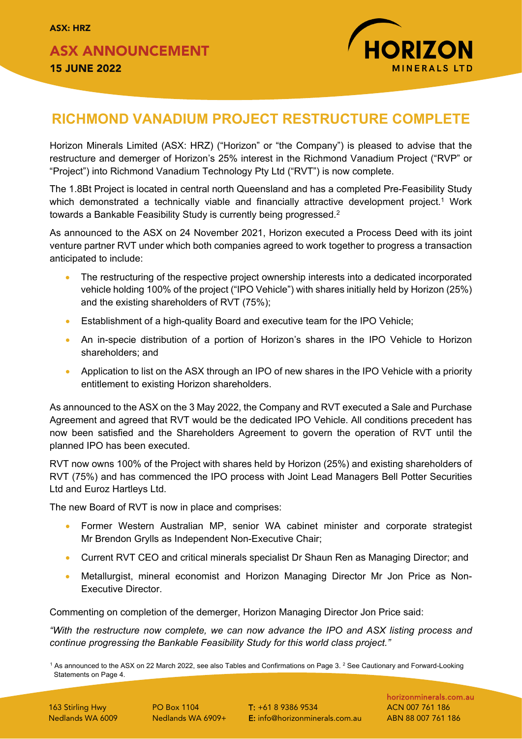ASX ANNOUNCEMENT 15 JUNE 2022



# **RICHMOND VANADIUM PROJECT RESTRUCTURE COMPLETE**

Horizon Minerals Limited (ASX: HRZ) ("Horizon" or "the Company") is pleased to advise that the restructure and demerger of Horizon's 25% interest in the Richmond Vanadium Project ("RVP" or "Project") into Richmond Vanadium Technology Pty Ltd ("RVT") is now complete.

The 1.8Bt Project is located in central north Queensland and has a completed Pre-Feasibility Study which demonstrated a technically viable and financially attractive development project.<sup>1</sup> Work towards a Bankable Feasibility Study is currently being progressed.2

As announced to the ASX on 24 November 2021, Horizon executed a Process Deed with its joint venture partner RVT under which both companies agreed to work together to progress a transaction anticipated to include:

- The restructuring of the respective project ownership interests into a dedicated incorporated vehicle holding 100% of the project ("IPO Vehicle") with shares initially held by Horizon (25%) and the existing shareholders of RVT (75%);
- Establishment of a high-quality Board and executive team for the IPO Vehicle;
- An in-specie distribution of a portion of Horizon's shares in the IPO Vehicle to Horizon shareholders; and
- Application to list on the ASX through an IPO of new shares in the IPO Vehicle with a priority entitlement to existing Horizon shareholders.

As announced to the ASX on the 3 May 2022, the Company and RVT executed a Sale and Purchase Agreement and agreed that RVT would be the dedicated IPO Vehicle. All conditions precedent has now been satisfied and the Shareholders Agreement to govern the operation of RVT until the planned IPO has been executed.

RVT now owns 100% of the Project with shares held by Horizon (25%) and existing shareholders of RVT (75%) and has commenced the IPO process with Joint Lead Managers Bell Potter Securities Ltd and Euroz Hartleys Ltd.

The new Board of RVT is now in place and comprises:

- Former Western Australian MP, senior WA cabinet minister and corporate strategist Mr Brendon Grylls as Independent Non-Executive Chair;
- Current RVT CEO and critical minerals specialist Dr Shaun Ren as Managing Director; and
- Metallurgist, mineral economist and Horizon Managing Director Mr Jon Price as Non-Executive Director.

Commenting on completion of the demerger, Horizon Managing Director Jon Price said:

*"With the restructure now complete, we can now advance the IPO and ASX listing process and continue progressing the Bankable Feasibility Study for this world class project."*

 $1$  As announced to the ASX on 22 March 2022, see also Tables and Confirmations on Page 3. <sup>2</sup> See Cautionary and Forward-Looking Statements on Page 4.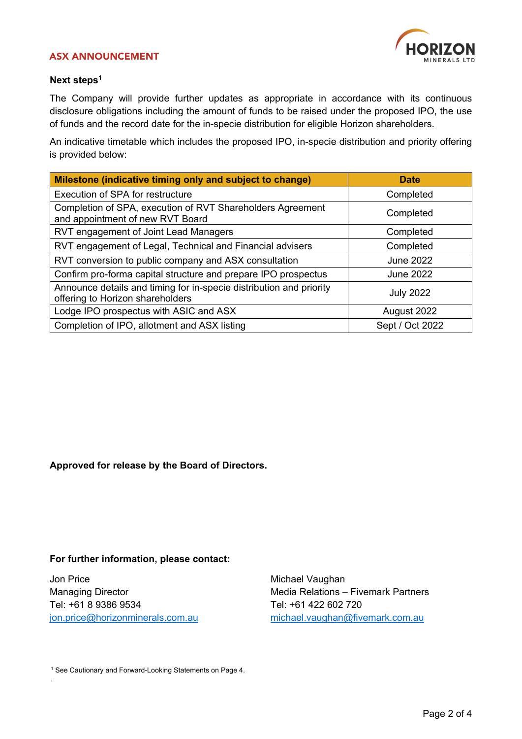#### ASX ANNOUNCEMENT



#### **Next steps<sup>1</sup>**

The Company will provide further updates as appropriate in accordance with its continuous disclosure obligations including the amount of funds to be raised under the proposed IPO, the use of funds and the record date for the in-specie distribution for eligible Horizon shareholders.

An indicative timetable which includes the proposed IPO, in-specie distribution and priority offering is provided below:

| Milestone (indicative timing only and subject to change)                                                | <b>Date</b>      |  |  |
|---------------------------------------------------------------------------------------------------------|------------------|--|--|
| Execution of SPA for restructure                                                                        | Completed        |  |  |
| Completion of SPA, execution of RVT Shareholders Agreement<br>and appointment of new RVT Board          | Completed        |  |  |
| RVT engagement of Joint Lead Managers                                                                   | Completed        |  |  |
| RVT engagement of Legal, Technical and Financial advisers                                               | Completed        |  |  |
| RVT conversion to public company and ASX consultation                                                   | <b>June 2022</b> |  |  |
| Confirm pro-forma capital structure and prepare IPO prospectus                                          | <b>June 2022</b> |  |  |
| Announce details and timing for in-specie distribution and priority<br>offering to Horizon shareholders | <b>July 2022</b> |  |  |
| Lodge IPO prospectus with ASIC and ASX                                                                  | August 2022      |  |  |
| Completion of IPO, allotment and ASX listing                                                            | Sept / Oct 2022  |  |  |

#### **Approved for release by the Board of Directors.**

#### **For further information, please contact:**

Jon Price Michael Vaughan Tel: +61 8 9386 9534 Tel: +61 422 602 720

.

Managing Director **Media Relations – Fivemark Partners** [jon.price@horizonminerals.com.au](mailto:jon.price@horizonminerals.com.au) [michael.vaughan@fivemark.com.au](mailto:michael.vaughan@fivemark.com.au)

<sup>1</sup> See Cautionary and Forward-Looking Statements on Page 4.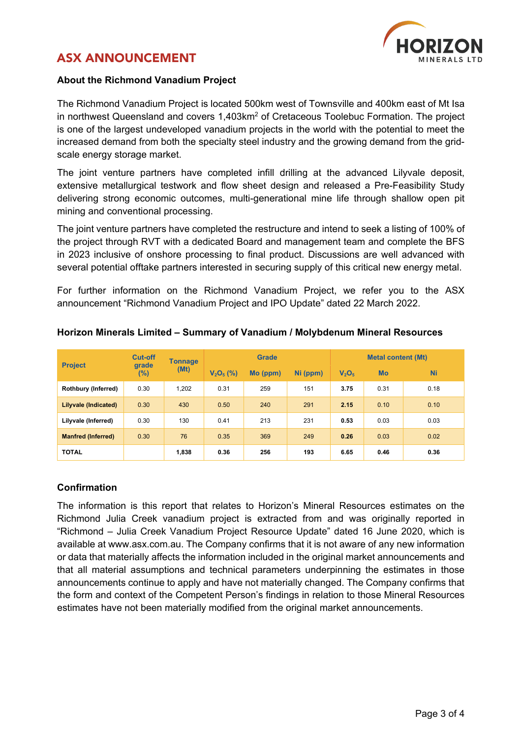# ASX ANNOUNCEMENT



### **About the Richmond Vanadium Project**

The Richmond Vanadium Project is located 500km west of Townsville and 400km east of Mt Isa in northwest Queensland and covers 1,403km<sup>2</sup> of Cretaceous Toolebuc Formation. The project is one of the largest undeveloped vanadium projects in the world with the potential to meet the increased demand from both the specialty steel industry and the growing demand from the gridscale energy storage market.

The joint venture partners have completed infill drilling at the advanced Lilyvale deposit, extensive metallurgical testwork and flow sheet design and released a Pre-Feasibility Study delivering strong economic outcomes, multi-generational mine life through shallow open pit mining and conventional processing.

The joint venture partners have completed the restructure and intend to seek a listing of 100% of the project through RVT with a dedicated Board and management team and complete the BFS in 2023 inclusive of onshore processing to final product. Discussions are well advanced with several potential offtake partners interested in securing supply of this critical new energy metal.

For further information on the Richmond Vanadium Project, we refer you to the ASX announcement "Richmond Vanadium Project and IPO Update" dated 22 March 2022.

| <b>Project</b>            | <b>Cut-off</b><br>grade<br>(%) | <b>Tonnage</b><br>(Mt) | <b>Grade</b> |          |          | <b>Metal content (Mt)</b>     |           |           |
|---------------------------|--------------------------------|------------------------|--------------|----------|----------|-------------------------------|-----------|-----------|
|                           |                                |                        | $V_2O_5$ (%) | Mo (ppm) | Ni (ppm) | V <sub>2</sub> O <sub>5</sub> | <b>Mo</b> | <b>Ni</b> |
| Rothbury (Inferred)       | 0.30                           | 1,202                  | 0.31         | 259      | 151      | 3.75                          | 0.31      | 0.18      |
| Lilyvale (Indicated)      | 0.30                           | 430                    | 0.50         | 240      | 291      | 2.15                          | 0.10      | 0.10      |
| Lilyvale (Inferred)       | 0.30                           | 130                    | 0.41         | 213      | 231      | 0.53                          | 0.03      | 0.03      |
| <b>Manfred (Inferred)</b> | 0.30                           | 76                     | 0.35         | 369      | 249      | 0.26                          | 0.03      | 0.02      |
| <b>TOTAL</b>              |                                | 1,838                  | 0.36         | 256      | 193      | 6.65                          | 0.46      | 0.36      |

#### **Horizon Minerals Limited – Summary of Vanadium / Molybdenum Mineral Resources**

#### **Confirmation**

The information is this report that relates to Horizon's Mineral Resources estimates on the Richmond Julia Creek vanadium project is extracted from and was originally reported in "Richmond – Julia Creek Vanadium Project Resource Update" dated 16 June 2020, which is available at www.asx.com.au. The Company confirms that it is not aware of any new information or data that materially affects the information included in the original market announcements and that all material assumptions and technical parameters underpinning the estimates in those announcements continue to apply and have not materially changed. The Company confirms that the form and context of the Competent Person's findings in relation to those Mineral Resources estimates have not been materially modified from the original market announcements.